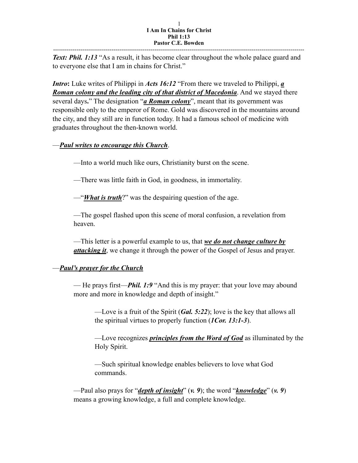*Text: Phil.* 1:13 "As a result, it has become clear throughout the whole palace guard and to everyone else that I am in chains for Christ."

*Intro*: Luke writes of Philippi in *Acts 16:12* "From there we traveled to Philippi, *a Roman colony and the leading city of that district of Macedonia*. And we stayed there several days**.**" The designation "*a Roman colony*", meant that its government was responsible only to the emperor of Rome. Gold was discovered in the mountains around the city, and they still are in function today. It had a famous school of medicine with graduates throughout the then-known world.

## —*Paul writes to encourage this Church*.

—Into a world much like ours, Christianity burst on the scene.

—There was little faith in God, in goodness, in immortality.

—"*What is truth*?" was the despairing question of the age.

—The gospel flashed upon this scene of moral confusion, a revelation from heaven.

—This letter is a powerful example to us, that *we do not change culture by attacking it*, we change it through the power of the Gospel of Jesus and prayer.

## —*Paul's prayer for the Church*

— He prays first—*Phil. 1:9* "And this is my prayer: that your love may abound more and more in knowledge and depth of insight."

—Love is a fruit of the Spirit (*Gal. 5:22*); love is the key that allows all the spiritual virtues to properly function (*1Cor. 13:1-3*).

—Love recognizes *principles from the Word of God* as illuminated by the Holy Spirit.

—Such spiritual knowledge enables believers to love what God commands.

—Paul also prays for "*depth of insight*" (*v. 9*); the word "*knowledge*" (*v. 9*) means a growing knowledge, a full and complete knowledge.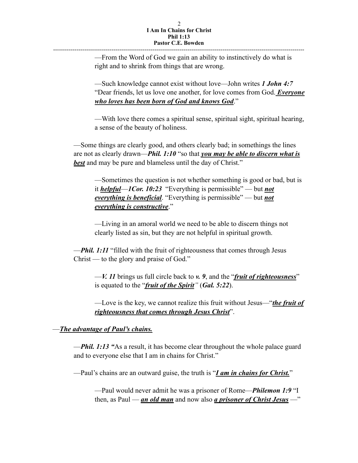—From the Word of God we gain an ability to instinctively do what is right and to shrink from things that are wrong.

—Such knowledge cannot exist without love—John writes *1 John 4:7* "Dear friends, let us love one another, for love comes from God. *Everyone who loves has been born of God and knows God*."

—With love there comes a spiritual sense, spiritual sight, spiritual hearing, a sense of the beauty of holiness.

—Some things are clearly good, and others clearly bad; in somethings the lines are not as clearly drawn—*Phil. 1:10* "so that *you may be able to discern what is best* and may be pure and blameless until the day of Christ."

—Sometimes the question is not whether something is good or bad, but is it *helpful*—*1Cor. 10:23* "Everything is permissible" — but *not everything is beneficial*. "Everything is permissible" — but *not everything is constructive*."

—Living in an amoral world we need to be able to discern things not clearly listed as sin, but they are not helpful in spiritual growth.

—*Phil. 1:11* "filled with the fruit of righteousness that comes through Jesus Christ — to the glory and praise of God."

—*V. 11* brings us full circle back to *v. 9*, and the "*fruit of righteousness*" is equated to the "*fruit of the Spirit"* (*Gal. 5:22*).

—Love is the key, we cannot realize this fruit without Jesus—"*the fruit of righteousness that comes through Jesus Christ*".

—*The advantage of Paul's chains.*

—*Phil. 1:13 "*As a result, it has become clear throughout the whole palace guard and to everyone else that I am in chains for Christ."

—Paul's chains are an outward guise, the truth is "*I am in chains for Christ.*"

—Paul would never admit he was a prisoner of Rome—*Philemon 1:9* "I then, as Paul — *an old man* and now also *a prisoner of Christ Jesus* —"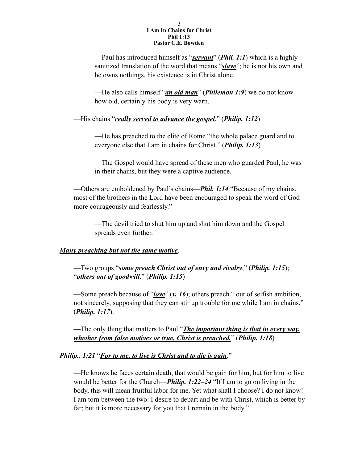—Paul has introduced himself as "*servant*" (*Phil. 1:1*) which is a highly sanitized translation of the word that means "*slave*"; he is not his own and he owns nothings, his existence is in Christ alone.

—He also calls himself "*an old man*" (*Philemon 1:9*) we do not know how old, certainly his body is very warn.

## —His chains "*really served to advance the gospel*." (*Philip. 1:12*)

—He has preached to the elite of Rome "the whole palace guard and to everyone else that I am in chains for Christ." (*Philip. 1:13*)

—The Gospel would have spread of these men who guarded Paul, he was in their chains, but they were a captive audience.

—Others are emboldened by Paul's chains—*Phil. 1:14* "Because of my chains, most of the brothers in the Lord have been encouraged to speak the word of God more courageously and fearlessly."

—The devil tried to shut him up and shut him down and the Gospel spreads even further.

## —*Many preaching but not the same motive*.

—Two groups "*some preach Christ out of envy and rivalry*," (*Philip. 1:15*); "*others out of goodwill*." (*Philip. 1:15*)

—Some preach because of "*love*" (*v. 16*); others preach " out of selfish ambition, not sincerely, supposing that they can stir up trouble for me while I am in chains." (*Philip. 1:17*).

—The only thing that matters to Paul "*The important thing is that in every way, whether from false motives or true, Christ is preached.*" (*Philip. 1:18*)

# —*Philip.. 1:21* "*For to me, to live is Christ and to die is gain*."

—He knows he faces certain death, that would be gain for him, but for him to live would be better for the Church—*Philip. 1:22–24* "If I am to go on living in the body, this will mean fruitful labor for me. Yet what shall I choose? I do not know! I am torn between the two: I desire to depart and be with Christ, which is better by far; but it is more necessary for you that I remain in the body."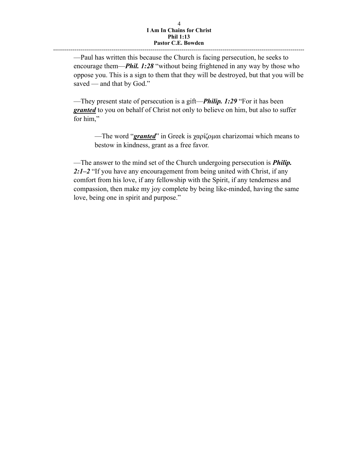—Paul has written this because the Church is facing persecution, he seeks to encourage them—*Phil. 1:28* "without being frightened in any way by those who oppose you. This is a sign to them that they will be destroyed, but that you will be saved — and that by God."

—They present state of persecution is a gift—*Philip. 1:29* "For it has been *granted* to you on behalf of Christ not only to believe on him, but also to suffer for him,"

—The word "*granted*" in Greek is χαρίζοµαι charizomai which means to bestow in kindness, grant as a free favor.

—The answer to the mind set of the Church undergoing persecution is *Philip. 2:1–2* "If you have any encouragement from being united with Christ, if any comfort from his love, if any fellowship with the Spirit, if any tenderness and compassion, then make my joy complete by being like-minded, having the same love, being one in spirit and purpose."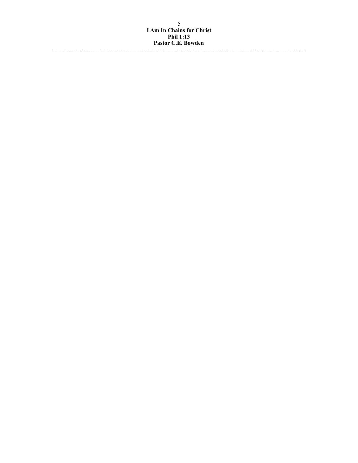$\frac{5}{1 \text{ Am In Chains for Christ}}$ **Phil 1:13** Pastor C.E. Bowden

---